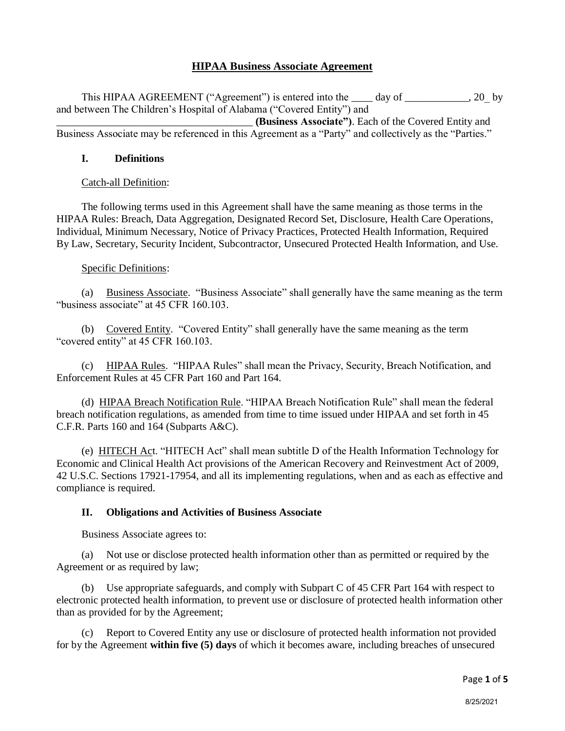# **HIPAA Business Associate Agreement**

This HIPAA AGREEMENT ("Agreement") is entered into the day of . 20 by and between The Children's Hospital of Alabama ("Covered Entity") and \_\_\_\_\_\_\_\_\_\_\_\_\_\_\_\_\_\_\_\_\_\_\_\_\_\_\_\_\_\_\_\_\_\_\_\_\_ **(Business Associate")**. Each of the Covered Entity and Business Associate may be referenced in this Agreement as a "Party" and collectively as the "Parties."

## **I. Definitions**

## Catch-all Definition:

The following terms used in this Agreement shall have the same meaning as those terms in the HIPAA Rules: Breach, Data Aggregation, Designated Record Set, Disclosure, Health Care Operations, Individual, Minimum Necessary, Notice of Privacy Practices, Protected Health Information, Required By Law, Secretary, Security Incident, Subcontractor, Unsecured Protected Health Information, and Use.

## Specific Definitions:

(a) Business Associate. "Business Associate" shall generally have the same meaning as the term "business associate" at 45 CFR 160.103.

(b) Covered Entity. "Covered Entity" shall generally have the same meaning as the term "covered entity" at 45 CFR 160.103.

(c) HIPAA Rules. "HIPAA Rules" shall mean the Privacy, Security, Breach Notification, and Enforcement Rules at 45 CFR Part 160 and Part 164.

(d) HIPAA Breach Notification Rule. "HIPAA Breach Notification Rule" shall mean the federal breach notification regulations, as amended from time to time issued under HIPAA and set forth in 45 C.F.R. Parts 160 and 164 (Subparts A&C).

(e) HITECH Act. "HITECH Act" shall mean subtitle D of the Health Information Technology for Economic and Clinical Health Act provisions of the American Recovery and Reinvestment Act of 2009, 42 U.S.C. Sections 17921-17954, and all its implementing regulations, when and as each as effective and compliance is required.

# **II. Obligations and Activities of Business Associate**

Business Associate agrees to:

(a) Not use or disclose protected health information other than as permitted or required by the Agreement or as required by law;

(b) Use appropriate safeguards, and comply with Subpart C of 45 CFR Part 164 with respect to electronic protected health information, to prevent use or disclosure of protected health information other than as provided for by the Agreement;

(c) Report to Covered Entity any use or disclosure of protected health information not provided for by the Agreement **within five (5) days** of which it becomes aware, including breaches of unsecured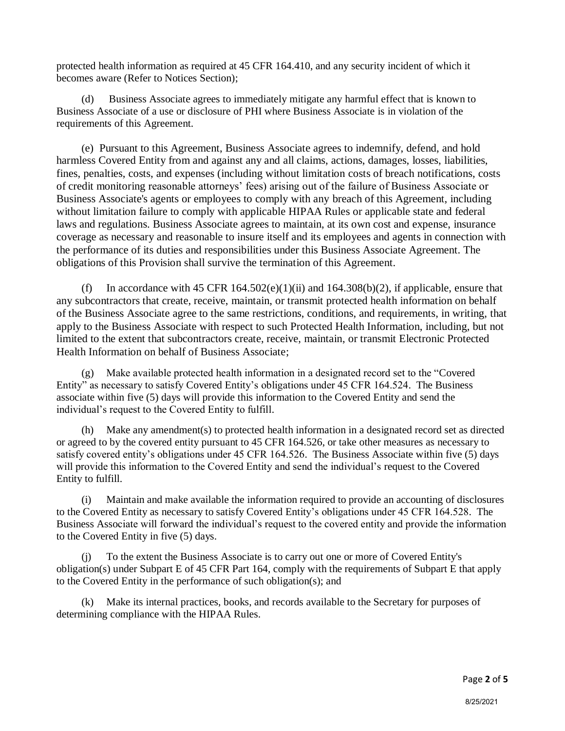protected health information as required at 45 CFR 164.410, and any security incident of which it becomes aware (Refer to Notices Section);

(d) Business Associate agrees to immediately mitigate any harmful effect that is known to Business Associate of a use or disclosure of PHI where Business Associate is in violation of the requirements of this Agreement.

(e) Pursuant to this Agreement, Business Associate agrees to indemnify, defend, and hold harmless Covered Entity from and against any and all claims, actions, damages, losses, liabilities, fines, penalties, costs, and expenses (including without limitation costs of breach notifications, costs of credit monitoring reasonable attorneys' fees) arising out of the failure of Business Associate or Business Associate's agents or employees to comply with any breach of this Agreement, including without limitation failure to comply with applicable HIPAA Rules or applicable state and federal laws and regulations. Business Associate agrees to maintain, at its own cost and expense, insurance coverage as necessary and reasonable to insure itself and its employees and agents in connection with the performance of its duties and responsibilities under this Business Associate Agreement. The obligations of this Provision shall survive the termination of this Agreement.

(f) In accordance with 45 CFR 164.502(e)(1)(ii) and 164.308(b)(2), if applicable, ensure that any subcontractors that create, receive, maintain, or transmit protected health information on behalf of the Business Associate agree to the same restrictions, conditions, and requirements, in writing, that apply to the Business Associate with respect to such Protected Health Information, including, but not limited to the extent that subcontractors create, receive, maintain, or transmit Electronic Protected Health Information on behalf of Business Associate;

(g) Make available protected health information in a designated record set to the "Covered Entity" as necessary to satisfy Covered Entity's obligations under 45 CFR 164.524. The Business associate within five (5) days will provide this information to the Covered Entity and send the individual's request to the Covered Entity to fulfill.

(h) Make any amendment(s) to protected health information in a designated record set as directed or agreed to by the covered entity pursuant to 45 CFR 164.526, or take other measures as necessary to satisfy covered entity's obligations under 45 CFR 164.526. The Business Associate within five (5) days will provide this information to the Covered Entity and send the individual's request to the Covered Entity to fulfill.

(i) Maintain and make available the information required to provide an accounting of disclosures to the Covered Entity as necessary to satisfy Covered Entity's obligations under 45 CFR 164.528. The Business Associate will forward the individual's request to the covered entity and provide the information to the Covered Entity in five (5) days.

(j) To the extent the Business Associate is to carry out one or more of Covered Entity's obligation(s) under Subpart E of 45 CFR Part 164, comply with the requirements of Subpart E that apply to the Covered Entity in the performance of such obligation(s); and

(k) Make its internal practices, books, and records available to the Secretary for purposes of determining compliance with the HIPAA Rules.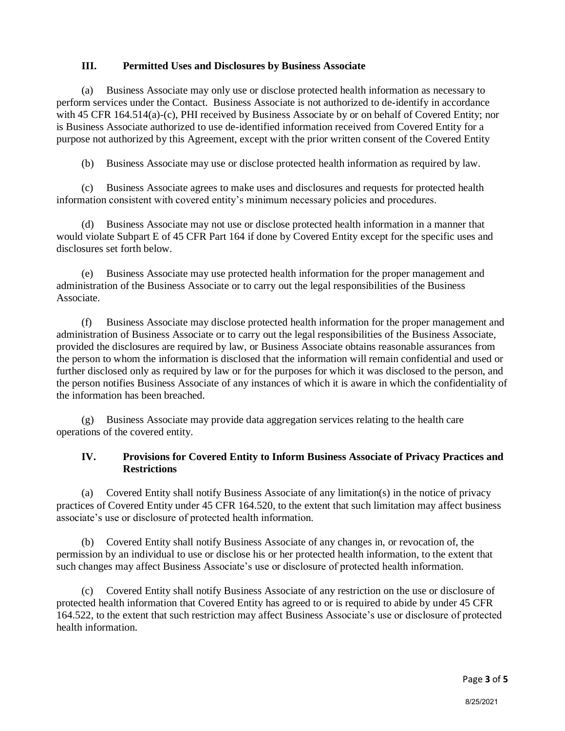# **III. Permitted Uses and Disclosures by Business Associate**

(a) Business Associate may only use or disclose protected health information as necessary to perform services under the Contact. Business Associate is not authorized to de-identify in accordance with 45 CFR 164.514(a)-(c), PHI received by Business Associate by or on behalf of Covered Entity; nor is Business Associate authorized to use de-identified information received from Covered Entity for a purpose not authorized by this Agreement, except with the prior written consent of the Covered Entity

(b) Business Associate may use or disclose protected health information as required by law.

(c) Business Associate agrees to make uses and disclosures and requests for protected health information consistent with covered entity's minimum necessary policies and procedures.

(d) Business Associate may not use or disclose protected health information in a manner that would violate Subpart E of 45 CFR Part 164 if done by Covered Entity except for the specific uses and disclosures set forth below.

(e) Business Associate may use protected health information for the proper management and administration of the Business Associate or to carry out the legal responsibilities of the Business Associate.

(f) Business Associate may disclose protected health information for the proper management and administration of Business Associate or to carry out the legal responsibilities of the Business Associate, provided the disclosures are required by law, or Business Associate obtains reasonable assurances from the person to whom the information is disclosed that the information will remain confidential and used or further disclosed only as required by law or for the purposes for which it was disclosed to the person, and the person notifies Business Associate of any instances of which it is aware in which the confidentiality of the information has been breached.

(g) Business Associate may provide data aggregation services relating to the health care operations of the covered entity.

## **IV. Provisions for Covered Entity to Inform Business Associate of Privacy Practices and Restrictions**

(a) Covered Entity shall notify Business Associate of any limitation(s) in the notice of privacy practices of Covered Entity under 45 CFR 164.520, to the extent that such limitation may affect business associate's use or disclosure of protected health information.

(b) Covered Entity shall notify Business Associate of any changes in, or revocation of, the permission by an individual to use or disclose his or her protected health information, to the extent that such changes may affect Business Associate's use or disclosure of protected health information.

(c) Covered Entity shall notify Business Associate of any restriction on the use or disclosure of protected health information that Covered Entity has agreed to or is required to abide by under 45 CFR 164.522, to the extent that such restriction may affect Business Associate's use or disclosure of protected health information.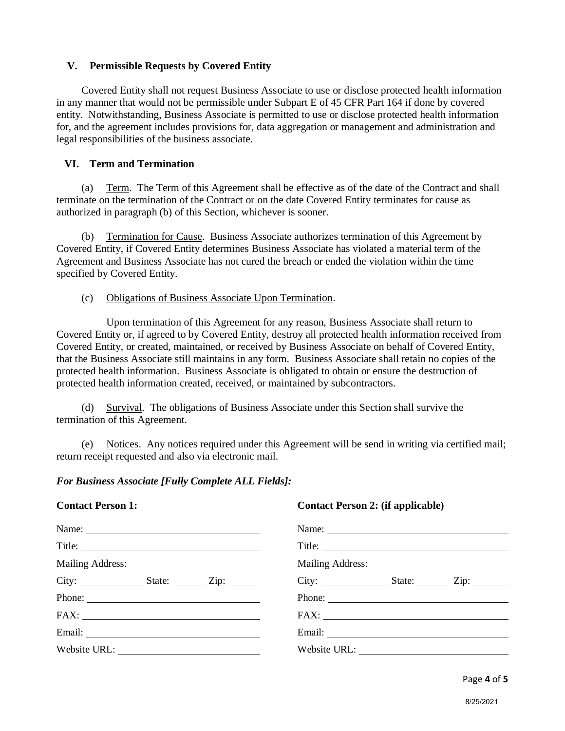# **V. Permissible Requests by Covered Entity**

Covered Entity shall not request Business Associate to use or disclose protected health information in any manner that would not be permissible under Subpart E of 45 CFR Part 164 if done by covered entity. Notwithstanding, Business Associate is permitted to use or disclose protected health information for, and the agreement includes provisions for, data aggregation or management and administration and legal responsibilities of the business associate.

#### **VI. Term and Termination**

(a) Term. The Term of this Agreement shall be effective as of the date of the Contract and shall terminate on the termination of the Contract or on the date Covered Entity terminates for cause as authorized in paragraph (b) of this Section, whichever is sooner.

(b) Termination for Cause. Business Associate authorizes termination of this Agreement by Covered Entity, if Covered Entity determines Business Associate has violated a material term of the Agreement and Business Associate has not cured the breach or ended the violation within the time specified by Covered Entity.

#### (c) Obligations of Business Associate Upon Termination.

Upon termination of this Agreement for any reason, Business Associate shall return to Covered Entity or, if agreed to by Covered Entity, destroy all protected health information received from Covered Entity, or created, maintained, or received by Business Associate on behalf of Covered Entity, that the Business Associate still maintains in any form. Business Associate shall retain no copies of the protected health information. Business Associate is obligated to obtain or ensure the destruction of protected health information created, received, or maintained by subcontractors.

(d) Survival. The obligations of Business Associate under this Section shall survive the termination of this Agreement.

(e) Notices. Any notices required under this Agreement will be send in writing via certified mail; return receipt requested and also via electronic mail.

#### *For Business Associate [Fully Complete ALL Fields]:*

### **Contact Person 1: Contact Person 2: (if applicable)**

| Name:                                                                                                                                                                                                                                                                                                                                                       | Name:        |
|-------------------------------------------------------------------------------------------------------------------------------------------------------------------------------------------------------------------------------------------------------------------------------------------------------------------------------------------------------------|--------------|
| Title:                                                                                                                                                                                                                                                                                                                                                      |              |
|                                                                                                                                                                                                                                                                                                                                                             |              |
| $City:$ State: $Zip:$                                                                                                                                                                                                                                                                                                                                       |              |
| Phone:                                                                                                                                                                                                                                                                                                                                                      | Phone:       |
| $FAX: \begin{tabular}{ c c c } \hline \rule{0.3cm}{.03cm} \rule{0.3cm}{.03cm} \rule{0.3cm}{.03cm} \rule{0.3cm}{.03cm} \rule{0.3cm}{.03cm} \rule{0.3cm}{.03cm} \rule{0.3cm}{.03cm} \rule{0.3cm}{.03cm} \rule{0.3cm}{.03cm} \rule{0.3cm}{.03cm} \rule{0.3cm}{.03cm} \rule{0.3cm}{.03cm} \rule{0.3cm}{.03cm} \rule{0.3cm}{.03cm} \rule{0.3cm}{.03cm} \rule{0.$ |              |
|                                                                                                                                                                                                                                                                                                                                                             | Email:       |
| Website URL:                                                                                                                                                                                                                                                                                                                                                | Website URL: |